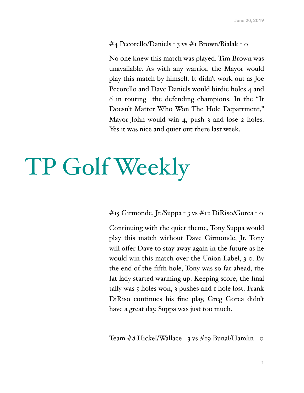#### #4 Pecorello/Daniels - 3 vs #1 Brown/Bialak - 0

No one knew this match was played. Tim Brown was unavailable. As with any warrior, the Mayor would play this match by himself. It didn't work out as Joe Pecorello and Dave Daniels would birdie holes 4 and 6 in routing the defending champions. In the "It Doesn't Matter Who Won The Hole Department," Mayor John would win 4, push 3 and lose 2 holes. Yes it was nice and quiet out there last week.

# TP Golf Weekly

#15 Girmonde, Jr./Suppa - 3 vs #12 DiRiso/Gorea - 0

Continuing with the quiet theme, Tony Suppa would play this match without Dave Girmonde, Jr. Tony will offer Dave to stay away again in the future as he would win this match over the Union Label, 3-0. By the end of the fifth hole, Tony was so far ahead, the fat lady started warming up. Keeping score, the final tally was 5 holes won, 3 pushes and 1 hole lost. Frank DiRiso continues his fine play, Greg Gorea didn't have a great day. Suppa was just too much.

Team #8 Hickel/Wallace - 3 vs #19 Bunal/Hamlin - 0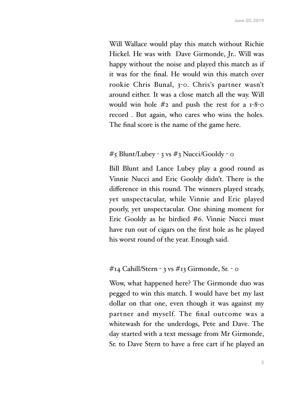Will Wallace would play this match without Richie Hickel. He was with Dave Girmonde, Jr.. Will was happy without the noise and played this match as if it was for the final. He would win this match over rookie Chris Bunal, 3-0. Chris's partner wasn't around either. It was a close match all the way. Will would win hole  $#2$  and push the rest for a  $1-8$ -0 record . But again, who cares who wins the holes. The final score is the name of the game here.

#### #5 Blunt/Lubey - 3 vs #3 Nucci/Gooldy - 0

Bill Blunt and Lance Lubey play a good round as Vinnie Nucci and Eric Gooldy didn't. There is the difference in this round. The winners played steady, yet unspectacular, while Vinnie and Eric played poorly, yet unspectacular. One shining moment for Eric Gooldy as he birdied #6. Vinnie Nucci must have run out of cigars on the first hole as he played his worst round of the year. Enough said.

#### #14 Cahill/Stern - 3 vs #13 Girmonde, Sr. - 0

Wow, what happened here? The Girmonde duo was pegged to win this match. I would have bet my last dollar on that one, even though it was against my partner and myself. The final outcome was a whitewash for the underdogs, Pete and Dave. The day started with a text message from Mr Girmonde, Sr. to Dave Stern to have a free cart if he played an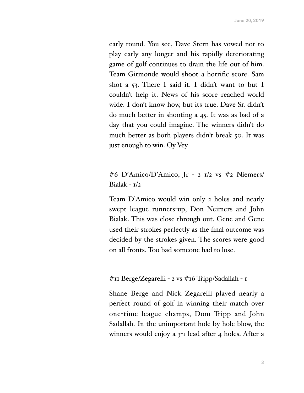early round. You see, Dave Stern has vowed not to play early any longer and his rapidly deteriorating game of golf continues to drain the life out of him. Team Girmonde would shoot a horrific score. Sam shot a 53. There I said it. I didn't want to but I couldn't help it. News of his score reached world wide. I don't know how, but its true. Dave Sr. didn't do much better in shooting a 45. It was as bad of a day that you could imagine. The winners didn't do much better as both players didn't break 50. It was just enough to win. Oy Vey

### #6 D'Amico/D'Amico, Jr - 2 1/2 vs #2 Niemers/ Bialak -  $I/2$

Team D'Amico would win only 2 holes and nearly swept league runners-up, Don Neimers and John Bialak. This was close through out. Gene and Gene used their strokes perfectly as the final outcome was decided by the strokes given. The scores were good on all fronts. Too bad someone had to lose.

#### #11 Berge/Zegarelli - 2 vs #16 Tripp/Sadallah - 1

Shane Berge and Nick Zegarelli played nearly a perfect round of golf in winning their match over one-time league champs, Dom Tripp and John Sadallah. In the unimportant hole by hole blow, the winners would enjoy a 3-1 lead after 4 holes. After a